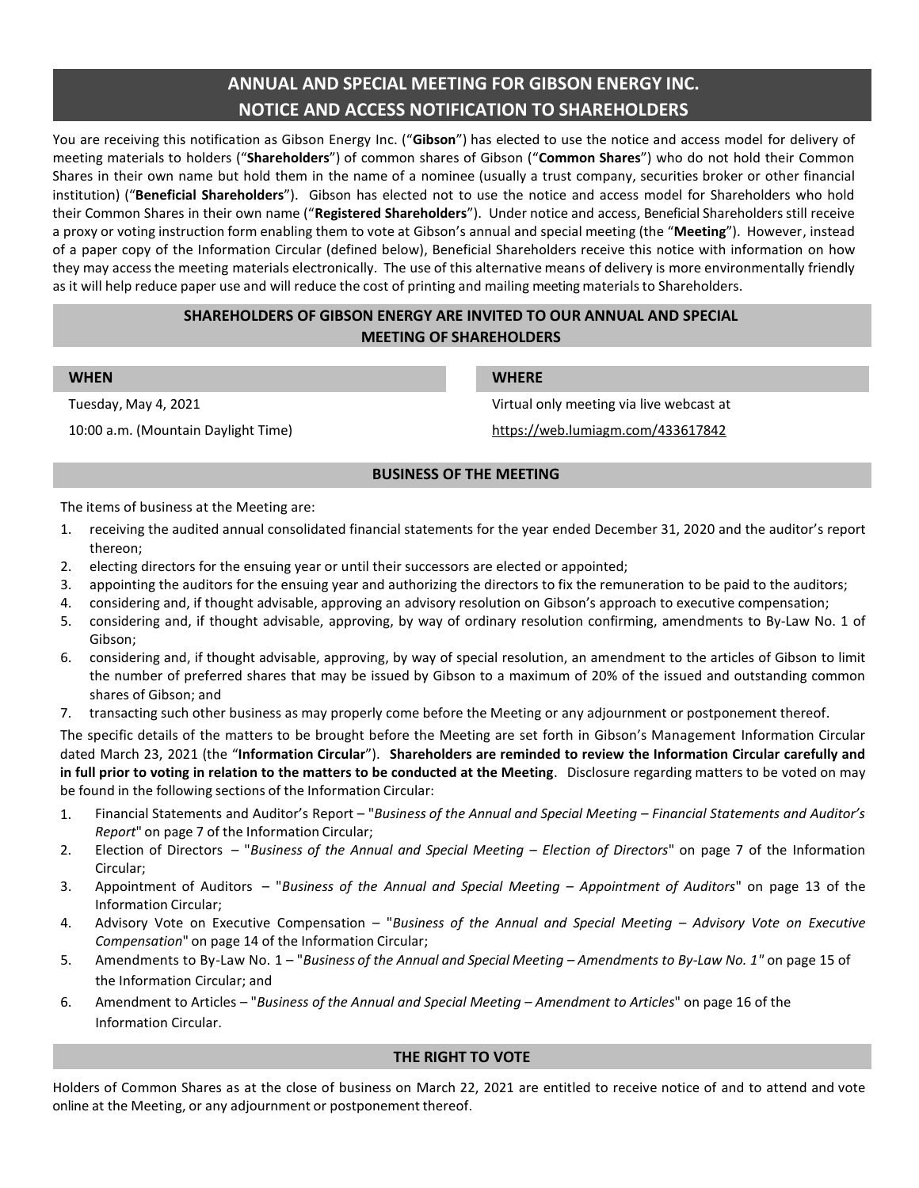# **ANNUAL AND SPECIAL MEETING FOR GIBSON ENERGY INC. NOTICE AND ACCESS NOTIFICATION TO SHAREHOLDERS**

You are receiving this notification as Gibson Energy Inc. ("**Gibson**") has elected to use the notice and access model for delivery of meeting materials to holders ("**Shareholders**") of common shares of Gibson ("**Common Shares**") who do not hold their Common Shares in their own name but hold them in the name of a nominee (usually a trust company, securities broker or other financial institution) ("**Beneficial Shareholders**"). Gibson has elected not to use the notice and access model for Shareholders who hold their Common Shares in their own name ("**Registered Shareholders**"). Under notice and access, Beneficial Shareholdersstill receive a proxy or voting instruction form enabling them to vote at Gibson's annual and special meeting (the "**Meeting**"). However, instead of a paper copy of the Information Circular (defined below), Beneficial Shareholders receive this notice with information on how they may access the meeting materials electronically. The use of this alternative means of delivery is more environmentally friendly as it will help reduce paper use and will reduce the cost of printing and mailing meeting materials to Shareholders.

# **SHAREHOLDERS OF GIBSON ENERGY ARE INVITED TO OUR ANNUAL AND SPECIAL MEETING OF SHAREHOLDERS**

# **WHEN WHERE**

Tuesday, May 4, 2021 Virtual only meeting via live webcast at 10:00 a.m. (Mountain Daylight Time) https://web.lumiagm.com/433617842

# **BUSINESS OF THE MEETING**

The items of business at the Meeting are:

- 1. receiving the audited annual consolidated financial statements for the year ended December 31, 2020 and the auditor's report thereon;
- 2. electing directors for the ensuing year or until their successors are elected or appointed;
- 3. appointing the auditors for the ensuing year and authorizing the directors to fix the remuneration to be paid to the auditors;
- 4. considering and, if thought advisable, approving an advisory resolution on Gibson's approach to executive compensation;
- 5. considering and, if thought advisable, approving, by way of ordinary resolution confirming, amendments to By-Law No. 1 of Gibson;
- 6. considering and, if thought advisable, approving, by way of special resolution, an amendment to the articles of Gibson to limit the number of preferred shares that may be issued by Gibson to a maximum of 20% of the issued and outstanding common shares of Gibson; and
- 7. transacting such other business as may properly come before the Meeting or any adjournment or postponement thereof.

The specific details of the matters to be brought before the Meeting are set forth in Gibson's Management Information Circular dated March 23, 2021 (the "**Information Circular**"). **Shareholders are reminded to review the Information Circular carefully and in full prior to voting in relation to the matters to be conducted at the Meeting**. Disclosure regarding matters to be voted on may be found in the following sections of the Information Circular:

- 1. Financial Statements and Auditor's Report "*Business of the Annual and Special Meeting – Financial Statements and Auditor's Report*" on page 7 of the Information Circular;
- 2. Election of Directors "*Business of the Annual and Special Meeting – Election of Directors*" on page 7 of the Information Circular;
- 3. Appointment of Auditors "*Business of the Annual and Special Meeting – Appointment of Auditors*" on page 13 of the Information Circular;
- 4. Advisory Vote on Executive Compensation "*Business of the Annual and Special Meeting – Advisory Vote on Executive Compensation*" on page 14 of the Information Circular;
- 5. Amendments to By-Law No. 1 "*Business of the Annual and Special Meeting – Amendments to By-Law No. 1"* on page 15 of the Information Circular; and
- 6. Amendment to Articles "*Business of the Annual and Special Meeting – Amendment to Articles*" on page 16 of the Information Circular.

### **THE RIGHT TO VOTE**

Holders of Common Shares as at the close of business on March 22, 2021 are entitled to receive notice of and to attend and vote online at the Meeting, or any adjournment or postponement thereof.